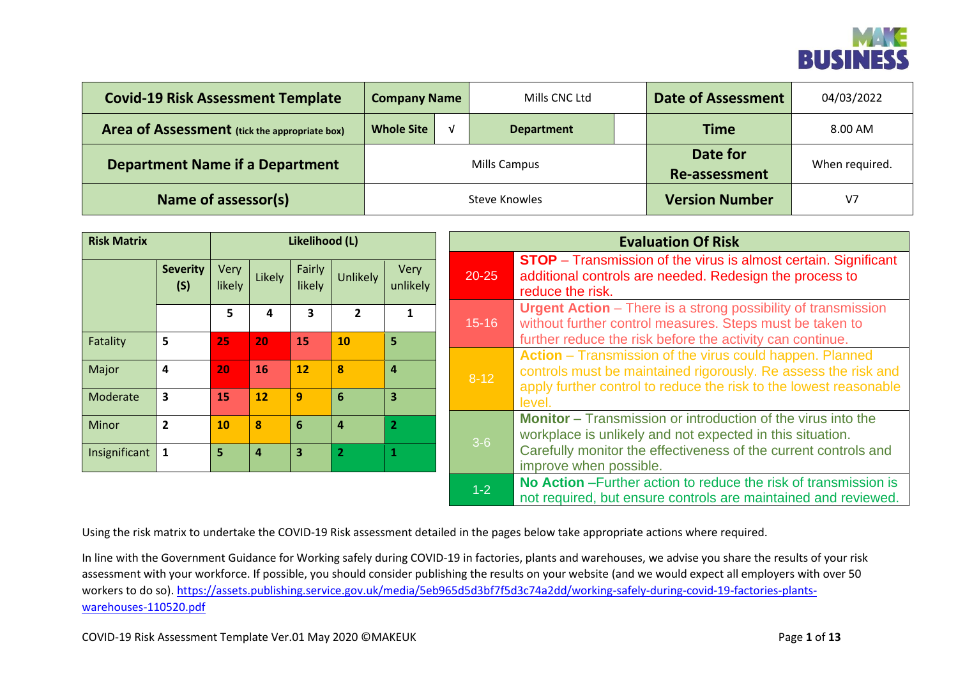

| <b>Covid-19 Risk Assessment Template</b>      | <b>Company Name</b>              | Mills CNC Ltd        | <b>Date of Assessment</b> | 04/03/2022     |
|-----------------------------------------------|----------------------------------|----------------------|---------------------------|----------------|
| Area of Assessment (tick the appropriate box) | <b>Whole Site</b>                | <b>Department</b>    | <b>Time</b>               | 8.00 AM        |
| <b>Department Name if a Department</b>        | Date for<br><b>Re-assessment</b> | When required.       |                           |                |
| Name of assessor(s)                           |                                  | <b>Steve Knowles</b> | <b>Version Number</b>     | V <sub>7</sub> |

| <b>Risk Matrix</b> |                         |                       |        | Likelihood (L)   |          |                  |           | <b>Evaluation Of Risk</b>                                                                                                                             |  |  |  |  |  |  |  |  |
|--------------------|-------------------------|-----------------------|--------|------------------|----------|------------------|-----------|-------------------------------------------------------------------------------------------------------------------------------------------------------|--|--|--|--|--|--|--|--|
|                    | <b>Severity</b><br>(S)  | <b>Very</b><br>likely | Likely | Fairly<br>likely | Unlikely | Very<br>unlikely | $20 - 25$ | <b>STOP</b> – Transmission of the virus is almost certain. Significant<br>additional controls are needed. Redesign the process to<br>reduce the risk. |  |  |  |  |  |  |  |  |
|                    |                         | 5                     | Δ      | З                |          | 1                | $15 - 16$ | <b>Urgent Action</b> – There is a strong possibility of transmission<br>without further control measures. Steps must be taken to                      |  |  |  |  |  |  |  |  |
| Fatality           | 5                       | 25                    | 20     | 15               | 10       | 5                |           | further reduce the risk before the activity can continue.                                                                                             |  |  |  |  |  |  |  |  |
|                    |                         |                       |        |                  |          |                  |           | Action - Transmission of the virus could happen. Planned                                                                                              |  |  |  |  |  |  |  |  |
| Major              | $\overline{a}$          | 20                    | 16     | 12               | 8        | 4                | $8-12$    | controls must be maintained rigorously. Re assess the risk and                                                                                        |  |  |  |  |  |  |  |  |
| Moderate           | $\overline{\mathbf{3}}$ | 15                    | 12     | 9                | 6        | 3                |           | apply further control to reduce the risk to the lowest reasonable<br>level.                                                                           |  |  |  |  |  |  |  |  |
| Minor              | $\overline{2}$          | 10                    | 8      | 6                | 4        | $\overline{2}$   |           | <b>Monitor</b> – Transmission or introduction of the virus into the<br>workplace is unlikely and not expected in this situation.                      |  |  |  |  |  |  |  |  |
| Insignificant      |                         | 5                     | 4      | 3                |          |                  | $3-6$     | Carefully monitor the effectiveness of the current controls and<br>improve when possible.                                                             |  |  |  |  |  |  |  |  |
|                    |                         |                       |        |                  |          |                  | $1-2$     | No Action - Further action to reduce the risk of transmission is<br>not required, but ensure controls are maintained and reviewed.                    |  |  |  |  |  |  |  |  |

Using the risk matrix to undertake the COVID-19 Risk assessment detailed in the pages below take appropriate actions where required.

In line with the Government Guidance for Working safely during COVID-19 in factories, plants and warehouses, we advise you share the results of your risk assessment with your workforce. If possible, you should consider publishing the results on your website (and we would expect all employers with over 50 workers to do so). [https://assets.publishing.service.gov.uk/media/5eb965d5d3bf7f5d3c74a2dd/working-safely-during-covid-19-factories-plants](https://assets.publishing.service.gov.uk/media/5eb965d5d3bf7f5d3c74a2dd/working-safely-during-covid-19-factories-plants-warehouses-110520.pdf)[warehouses-110520.pdf](https://assets.publishing.service.gov.uk/media/5eb965d5d3bf7f5d3c74a2dd/working-safely-during-covid-19-factories-plants-warehouses-110520.pdf)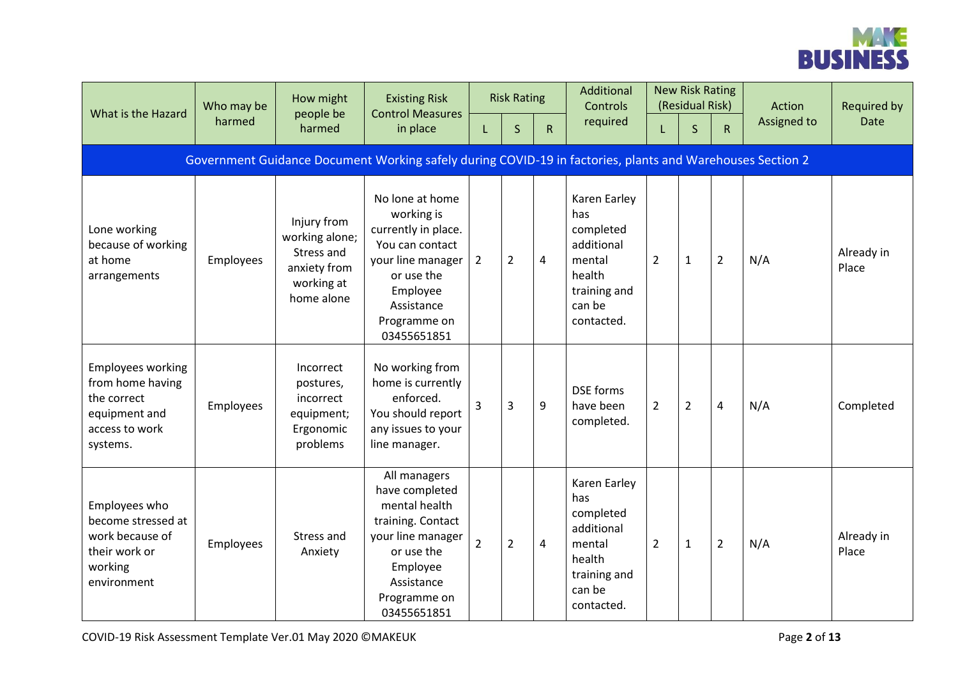

| What is the Hazard                                                                                         | Who may be<br>harmed | How might<br>people be                                                                  | <b>Existing Risk</b><br><b>Control Measures</b>                                                                                                                     |                | <b>Risk Rating</b> |                | Additional<br><b>Controls</b>                                                                              |                | <b>New Risk Rating</b><br>(Residual Risk) |                | Action      | <b>Required by</b>  |
|------------------------------------------------------------------------------------------------------------|----------------------|-----------------------------------------------------------------------------------------|---------------------------------------------------------------------------------------------------------------------------------------------------------------------|----------------|--------------------|----------------|------------------------------------------------------------------------------------------------------------|----------------|-------------------------------------------|----------------|-------------|---------------------|
|                                                                                                            |                      | harmed                                                                                  | in place                                                                                                                                                            | L              | S                  | $\mathsf{R}$   | required                                                                                                   | L              | $\mathsf{S}$                              | $\mathsf{R}$   | Assigned to | <b>Date</b>         |
|                                                                                                            |                      |                                                                                         | Government Guidance Document Working safely during COVID-19 in factories, plants and Warehouses Section 2                                                           |                |                    |                |                                                                                                            |                |                                           |                |             |                     |
| Lone working<br>because of working<br>at home<br>arrangements                                              | Employees            | Injury from<br>working alone;<br>Stress and<br>anxiety from<br>working at<br>home alone | No lone at home<br>working is<br>currently in place.<br>You can contact<br>your line manager<br>or use the<br>Employee<br>Assistance<br>Programme on<br>03455651851 | $\overline{2}$ | $\overline{2}$     | $\overline{4}$ | Karen Earley<br>has<br>completed<br>additional<br>mental<br>health<br>training and<br>can be<br>contacted. | $\overline{2}$ | $\mathbf{1}$                              | $\overline{2}$ | N/A         | Already in<br>Place |
| <b>Employees working</b><br>from home having<br>the correct<br>equipment and<br>access to work<br>systems. | Employees            | Incorrect<br>postures,<br>incorrect<br>equipment;<br>Ergonomic<br>problems              | No working from<br>home is currently<br>enforced.<br>You should report<br>any issues to your<br>line manager.                                                       | $\overline{3}$ | 3                  | 9              | <b>DSE</b> forms<br>have been<br>completed.                                                                | $\overline{2}$ | $\overline{2}$                            | $\overline{4}$ | N/A         | Completed           |
| Employees who<br>become stressed at<br>work because of<br>their work or<br>working<br>environment          | Employees            | Stress and<br>Anxiety                                                                   | All managers<br>have completed<br>mental health<br>training. Contact<br>your line manager<br>or use the<br>Employee<br>Assistance<br>Programme on<br>03455651851    | $\overline{2}$ | $\overline{2}$     | 4              | Karen Earley<br>has<br>completed<br>additional<br>mental<br>health<br>training and<br>can be<br>contacted. | $\overline{2}$ | $\mathbf{1}$                              | $\overline{2}$ | N/A         | Already in<br>Place |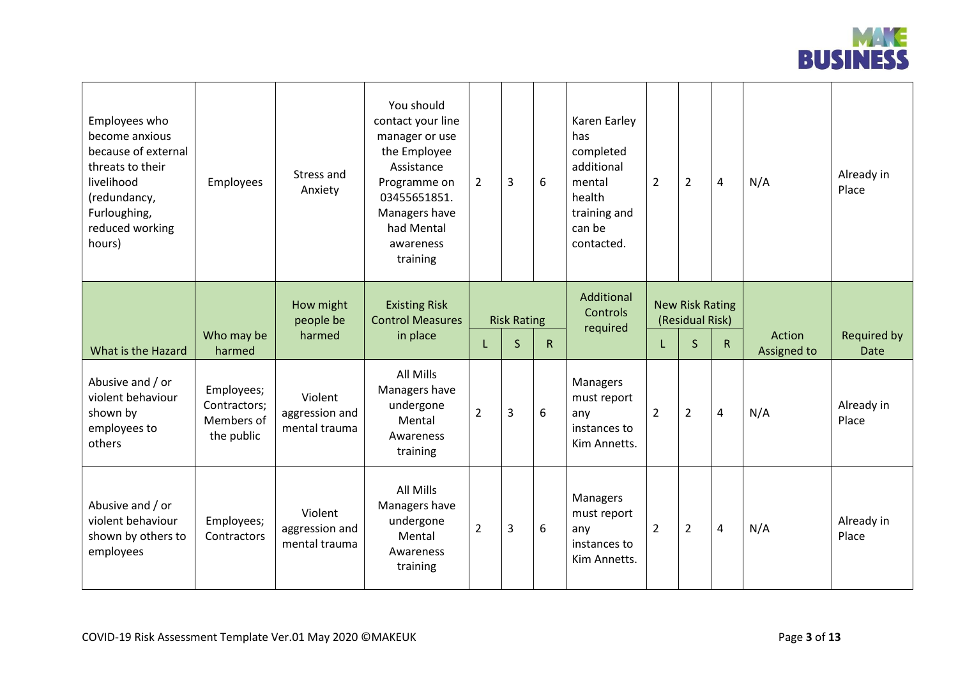

| Employees who<br>become anxious<br>because of external<br>threats to their<br>livelihood<br>(redundancy,<br>Furloughing,<br>reduced working<br>hours) | Employees                                              | Stress and<br>Anxiety                      | You should<br>contact your line<br>manager or use<br>the Employee<br>Assistance<br>Programme on<br>03455651851.<br>Managers have<br>had Mental<br>awareness<br>training | $\overline{2}$ | 3                                  | 6            | Karen Earley<br>has<br>completed<br>additional<br>mental<br>health<br>training and<br>can be<br>contacted. | $\overline{2}$ | $\overline{2}$                                            | 4            | N/A                   | Already in<br>Place        |
|-------------------------------------------------------------------------------------------------------------------------------------------------------|--------------------------------------------------------|--------------------------------------------|-------------------------------------------------------------------------------------------------------------------------------------------------------------------------|----------------|------------------------------------|--------------|------------------------------------------------------------------------------------------------------------|----------------|-----------------------------------------------------------|--------------|-----------------------|----------------------------|
| What is the Hazard                                                                                                                                    | Who may be<br>harmed                                   | How might<br>people be<br>harmed           | <b>Existing Risk</b><br><b>Control Measures</b><br>in place                                                                                                             | L              | <b>Risk Rating</b><br>$\mathsf{S}$ | $\mathsf{R}$ | Additional<br>Controls<br>required                                                                         | L              | <b>New Risk Rating</b><br>(Residual Risk)<br>$\mathsf{S}$ | $\mathsf{R}$ | Action<br>Assigned to | Required by<br><b>Date</b> |
| Abusive and / or<br>violent behaviour<br>shown by<br>employees to<br>others                                                                           | Employees;<br>Contractors;<br>Members of<br>the public | Violent<br>aggression and<br>mental trauma | <b>All Mills</b><br>Managers have<br>undergone<br>Mental<br>Awareness<br>training                                                                                       | 2              | 3                                  | 6            | Managers<br>must report<br>any<br>instances to<br>Kim Annetts.                                             | $\overline{2}$ | $\overline{2}$                                            | 4            | N/A                   | Already in<br>Place        |
| Abusive and / or<br>violent behaviour<br>shown by others to<br>employees                                                                              | Employees;<br>Contractors                              | Violent<br>aggression and<br>mental trauma | All Mills<br>Managers have<br>undergone<br>Mental<br>Awareness<br>training                                                                                              | $\overline{2}$ | 3                                  | 6            | Managers<br>must report<br>any<br>instances to<br>Kim Annetts.                                             | $\overline{2}$ | $\overline{2}$                                            | 4            | N/A                   | Already in<br>Place        |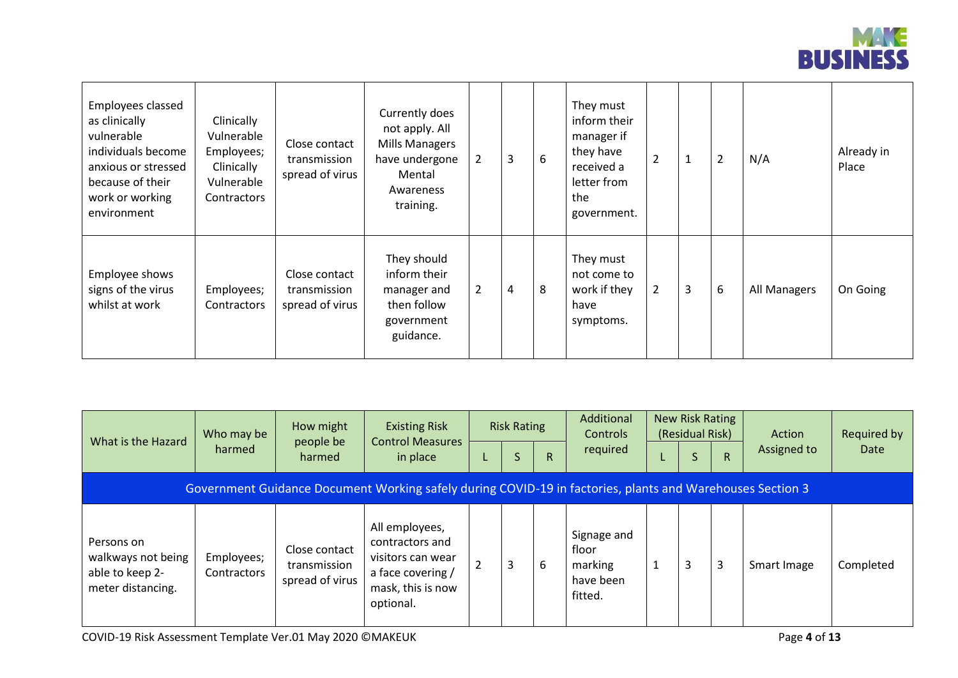

| Employees classed<br>as clinically<br>vulnerable<br>individuals become<br>anxious or stressed<br>because of their<br>work or working<br>environment | Clinically<br>Vulnerable<br>Employees;<br>Clinically<br>Vulnerable<br>Contractors | Close contact<br>transmission<br>spread of virus | Currently does<br>not apply. All<br><b>Mills Managers</b><br>have undergone<br>Mental<br>Awareness<br>training. | $\overline{2}$ | 3 | 6 | They must<br>inform their<br>manager if<br>they have<br>received a<br>letter from<br>the<br>government. | $\overline{2}$ | 1 | $\overline{2}$ | N/A          | Already in<br>Place |
|-----------------------------------------------------------------------------------------------------------------------------------------------------|-----------------------------------------------------------------------------------|--------------------------------------------------|-----------------------------------------------------------------------------------------------------------------|----------------|---|---|---------------------------------------------------------------------------------------------------------|----------------|---|----------------|--------------|---------------------|
| Employee shows<br>signs of the virus<br>whilst at work                                                                                              | Employees;<br>Contractors                                                         | Close contact<br>transmission<br>spread of virus | They should<br>inform their<br>manager and<br>then follow<br>government<br>guidance.                            | $\overline{2}$ | 4 | 8 | They must<br>not come to<br>work if they<br>have<br>symptoms.                                           | $\overline{2}$ | 3 | 6              | All Managers | On Going            |

| What is the Hazard                                                       | Who may be<br>harmed      | How might<br>people be<br>harmed                 | <b>Existing Risk</b><br><b>Control Measures</b><br>in place                                                   | <b>Risk Rating</b><br>S | R. | Additional<br><b>Controls</b><br>required               | New Risk Rating<br>(Residual Risk)<br>S | $\mathsf{R}$ | Action<br>Assigned to | Required by<br>Date |
|--------------------------------------------------------------------------|---------------------------|--------------------------------------------------|---------------------------------------------------------------------------------------------------------------|-------------------------|----|---------------------------------------------------------|-----------------------------------------|--------------|-----------------------|---------------------|
|                                                                          |                           |                                                  | Government Guidance Document Working safely during COVID-19 in factories, plants and Warehouses Section 3     |                         |    |                                                         |                                         |              |                       |                     |
| Persons on<br>walkways not being<br>able to keep 2-<br>meter distancing. | Employees;<br>Contractors | Close contact<br>transmission<br>spread of virus | All employees,<br>contractors and<br>visitors can wear<br>a face covering /<br>mask, this is now<br>optional. | 3                       | 6  | Signage and<br>floor<br>marking<br>have been<br>fitted. |                                         | 3            | Smart Image           | Completed           |

COVID-19 Risk Assessment Template Ver.01 May 2020 ©MAKEUK Page **4** of **13**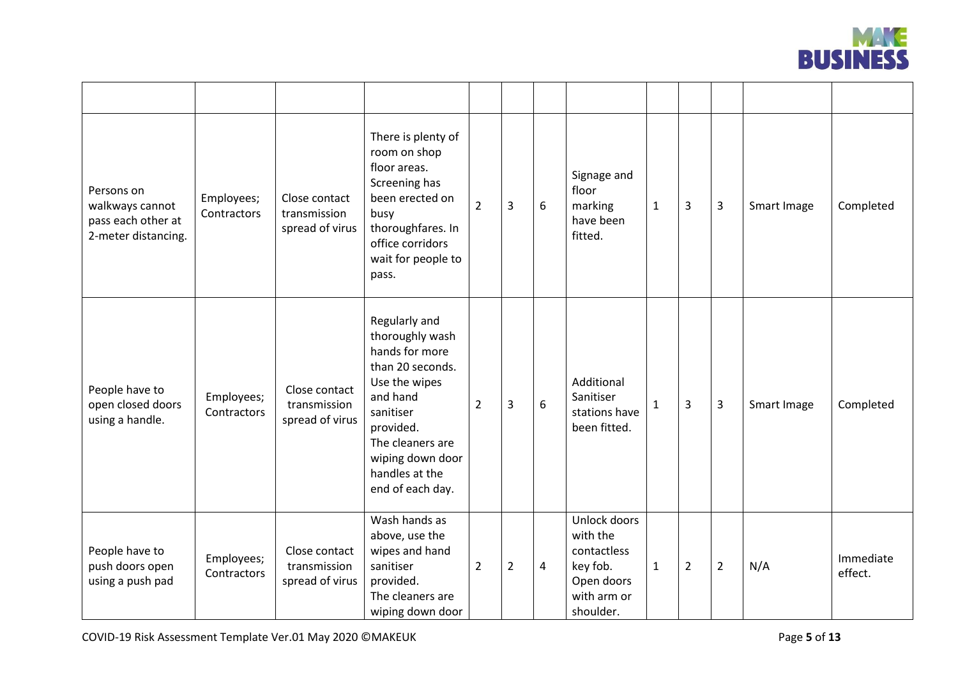

| Persons on<br>walkways cannot<br>pass each other at<br>2-meter distancing. | Employees;<br>Contractors | Close contact<br>transmission<br>spread of virus | There is plenty of<br>room on shop<br>floor areas.<br>Screening has<br>been erected on<br>busy<br>thoroughfares. In<br>office corridors<br>wait for people to<br>pass.                                      | $\overline{2}$ | $\overline{3}$ | 6              | Signage and<br>floor<br>marking<br>have been<br>fitted.                                       | $\mathbf 1$  | 3              | 3              | Smart Image | Completed            |
|----------------------------------------------------------------------------|---------------------------|--------------------------------------------------|-------------------------------------------------------------------------------------------------------------------------------------------------------------------------------------------------------------|----------------|----------------|----------------|-----------------------------------------------------------------------------------------------|--------------|----------------|----------------|-------------|----------------------|
| People have to<br>open closed doors<br>using a handle.                     | Employees;<br>Contractors | Close contact<br>transmission<br>spread of virus | Regularly and<br>thoroughly wash<br>hands for more<br>than 20 seconds.<br>Use the wipes<br>and hand<br>sanitiser<br>provided.<br>The cleaners are<br>wiping down door<br>handles at the<br>end of each day. | $\overline{2}$ | 3              | 6              | Additional<br>Sanitiser<br>stations have<br>been fitted.                                      | $\mathbf{1}$ | 3              | 3              | Smart Image | Completed            |
| People have to<br>push doors open<br>using a push pad                      | Employees;<br>Contractors | Close contact<br>transmission<br>spread of virus | Wash hands as<br>above, use the<br>wipes and hand<br>sanitiser<br>provided.<br>The cleaners are<br>wiping down door                                                                                         | $\overline{2}$ | $\overline{2}$ | $\overline{4}$ | Unlock doors<br>with the<br>contactless<br>key fob.<br>Open doors<br>with arm or<br>shoulder. | $\mathbf{1}$ | $\overline{2}$ | $\overline{2}$ | N/A         | Immediate<br>effect. |

COVID-19 Risk Assessment Template Ver.01 May 2020 ©MAKEUK Page **5** of **13**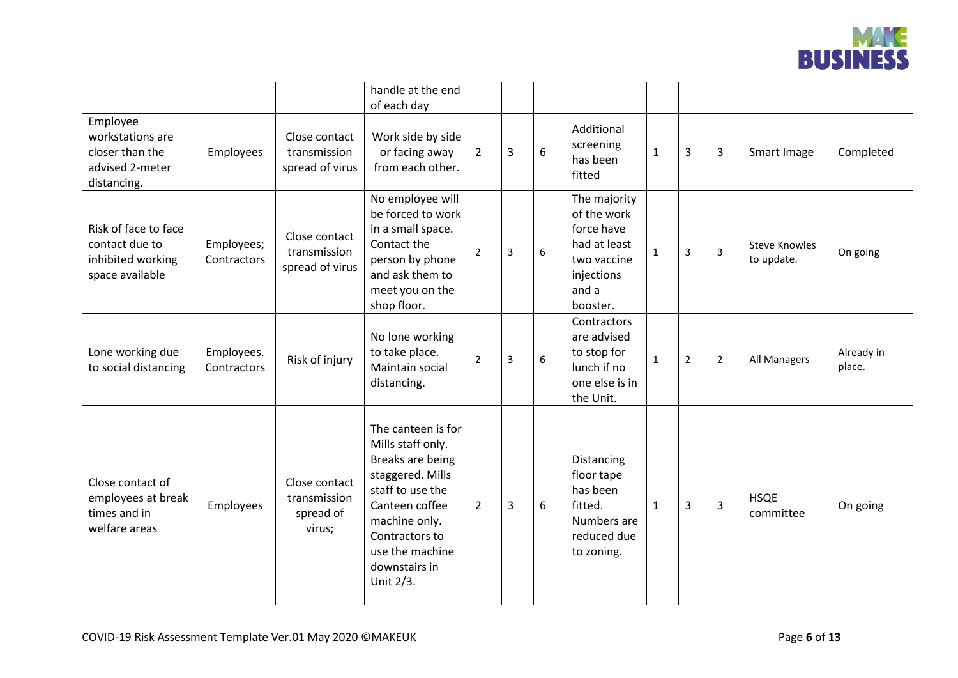

|                                                                                   |                           |                                                      | handle at the end<br>of each day                                                                                                                                                                          |                |   |   |                                                                                                             |              |                |                |                                    |                      |
|-----------------------------------------------------------------------------------|---------------------------|------------------------------------------------------|-----------------------------------------------------------------------------------------------------------------------------------------------------------------------------------------------------------|----------------|---|---|-------------------------------------------------------------------------------------------------------------|--------------|----------------|----------------|------------------------------------|----------------------|
| Employee<br>workstations are<br>closer than the<br>advised 2-meter<br>distancing. | Employees                 | Close contact<br>transmission<br>spread of virus     | Work side by side<br>or facing away<br>from each other.                                                                                                                                                   | $\overline{2}$ | 3 | 6 | Additional<br>screening<br>has been<br>fitted                                                               | $\mathbf{1}$ | 3              | 3              | Smart Image                        | Completed            |
| Risk of face to face<br>contact due to<br>inhibited working<br>space available    | Employees;<br>Contractors | Close contact<br>transmission<br>spread of virus     | No employee will<br>be forced to work<br>in a small space.<br>Contact the<br>person by phone<br>and ask them to<br>meet you on the<br>shop floor.                                                         | $\overline{2}$ | 3 | 6 | The majority<br>of the work<br>force have<br>had at least<br>two vaccine<br>injections<br>and a<br>booster. | $1\,$        | 3              | $\overline{3}$ | <b>Steve Knowles</b><br>to update. | On going             |
| Lone working due<br>to social distancing                                          | Employees.<br>Contractors | Risk of injury                                       | No lone working<br>to take place.<br>Maintain social<br>distancing.                                                                                                                                       | $\overline{2}$ | 3 | 6 | Contractors<br>are advised<br>to stop for<br>lunch if no<br>one else is in<br>the Unit.                     | $\mathbf{1}$ | $\overline{2}$ | $\overline{2}$ | All Managers                       | Already in<br>place. |
| Close contact of<br>employees at break<br>times and in<br>welfare areas           | Employees                 | Close contact<br>transmission<br>spread of<br>virus; | The canteen is for<br>Mills staff only.<br>Breaks are being<br>staggered. Mills<br>staff to use the<br>Canteen coffee<br>machine only.<br>Contractors to<br>use the machine<br>downstairs in<br>Unit 2/3. | $2^{\circ}$    | 3 | 6 | <b>Distancing</b><br>floor tape<br>has been<br>fitted.<br>Numbers are<br>reduced due<br>to zoning.          | $\mathbf{1}$ | 3              | $\overline{3}$ | <b>HSQE</b><br>committee           | On going             |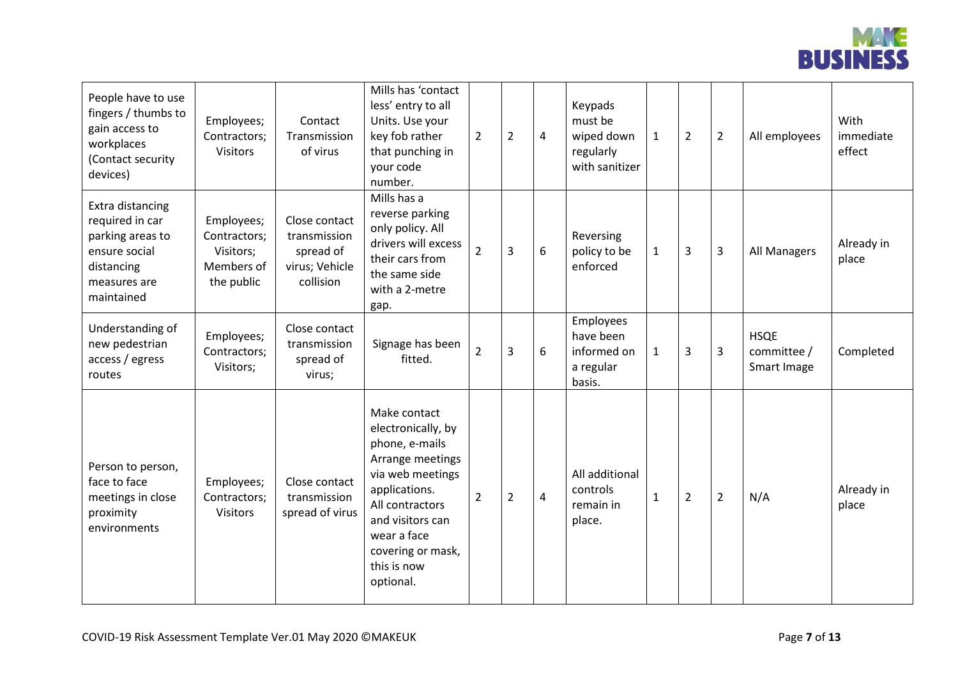

| People have to use<br>fingers / thumbs to<br>gain access to<br>workplaces<br>(Contact security<br>devices)           | Employees;<br>Contractors;<br><b>Visitors</b>                       | Contact<br>Transmission<br>of virus                                       | Mills has 'contact<br>less' entry to all<br>Units. Use your<br>key fob rather<br>that punching in<br>your code<br>number.                                                                                            | $\overline{2}$ | $\overline{2}$ | 4 | Keypads<br>must be<br>wiped down<br>regularly<br>with sanitizer | $\mathbf{1}$ | $\overline{2}$ | $\overline{2}$ | All employees                             | With<br>immediate<br>effect |
|----------------------------------------------------------------------------------------------------------------------|---------------------------------------------------------------------|---------------------------------------------------------------------------|----------------------------------------------------------------------------------------------------------------------------------------------------------------------------------------------------------------------|----------------|----------------|---|-----------------------------------------------------------------|--------------|----------------|----------------|-------------------------------------------|-----------------------------|
| Extra distancing<br>required in car<br>parking areas to<br>ensure social<br>distancing<br>measures are<br>maintained | Employees;<br>Contractors;<br>Visitors;<br>Members of<br>the public | Close contact<br>transmission<br>spread of<br>virus; Vehicle<br>collision | Mills has a<br>reverse parking<br>only policy. All<br>drivers will excess<br>their cars from<br>the same side<br>with a 2-metre<br>gap.                                                                              | $\overline{2}$ | $\overline{3}$ | 6 | Reversing<br>policy to be<br>enforced                           | $\mathbf{1}$ | 3              | $\overline{3}$ | All Managers                              | Already in<br>place         |
| Understanding of<br>new pedestrian<br>access / egress<br>routes                                                      | Employees;<br>Contractors;<br>Visitors;                             | Close contact<br>transmission<br>spread of<br>virus;                      | Signage has been<br>fitted.                                                                                                                                                                                          | $\overline{2}$ | $\overline{3}$ | 6 | Employees<br>have been<br>informed on<br>a regular<br>basis.    | $\mathbf{1}$ | 3              | 3              | <b>HSQE</b><br>committee /<br>Smart Image | Completed                   |
| Person to person,<br>face to face<br>meetings in close<br>proximity<br>environments                                  | Employees;<br>Contractors;<br><b>Visitors</b>                       | Close contact<br>transmission<br>spread of virus                          | Make contact<br>electronically, by<br>phone, e-mails<br>Arrange meetings<br>via web meetings<br>applications.<br>All contractors<br>and visitors can<br>wear a face<br>covering or mask,<br>this is now<br>optional. | $\overline{2}$ | $\overline{2}$ | 4 | All additional<br>controls<br>remain in<br>place.               | $\mathbf{1}$ | $\overline{2}$ | $\overline{2}$ | N/A                                       | Already in<br>place         |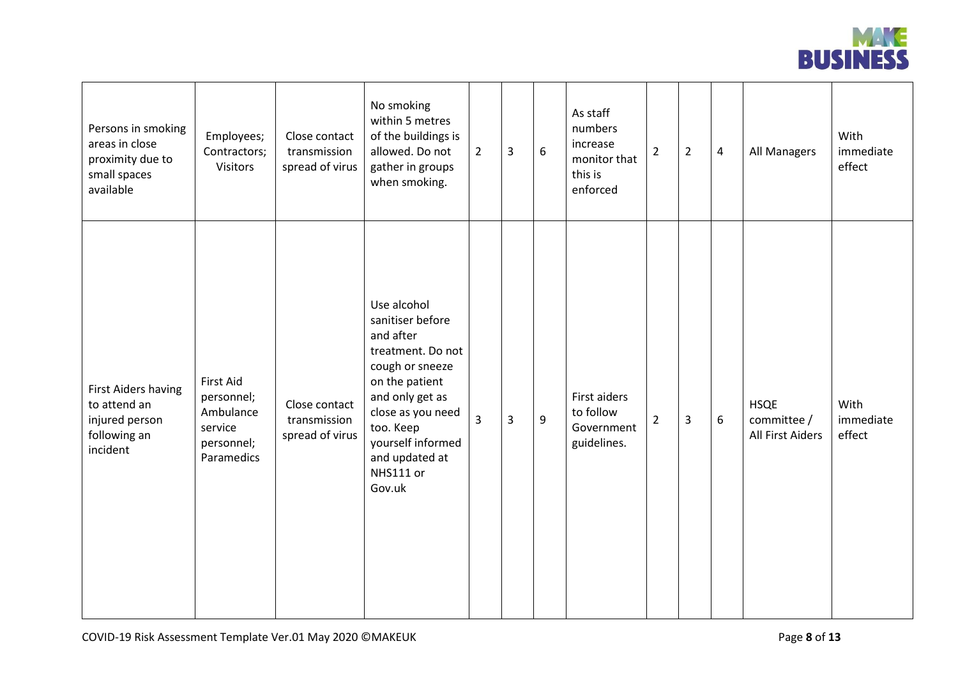

| Persons in smoking<br>areas in close<br>proximity due to<br>small spaces<br>available | Employees;<br>Contractors;<br><b>Visitors</b>                               | Close contact<br>transmission<br>spread of virus | No smoking<br>within 5 metres<br>of the buildings is<br>allowed. Do not<br>gather in groups<br>when smoking.                                                                                                              | $\overline{2}$ | 3 | 6 | As staff<br>numbers<br>increase<br>monitor that<br>this is<br>enforced | $\overline{2}$ | $\overline{2}$ | $\overline{\mathbf{4}}$ | All Managers                                   | With<br>immediate<br>effect |
|---------------------------------------------------------------------------------------|-----------------------------------------------------------------------------|--------------------------------------------------|---------------------------------------------------------------------------------------------------------------------------------------------------------------------------------------------------------------------------|----------------|---|---|------------------------------------------------------------------------|----------------|----------------|-------------------------|------------------------------------------------|-----------------------------|
| First Aiders having<br>to attend an<br>injured person<br>following an<br>incident     | First Aid<br>personnel;<br>Ambulance<br>service<br>personnel;<br>Paramedics | Close contact<br>transmission<br>spread of virus | Use alcohol<br>sanitiser before<br>and after<br>treatment. Do not<br>cough or sneeze<br>on the patient<br>and only get as<br>close as you need<br>too. Keep<br>yourself informed<br>and updated at<br>NHS111 or<br>Gov.uk | 3              | 3 | 9 | First aiders<br>to follow<br>Government<br>guidelines.                 | $\overline{2}$ | $\overline{3}$ | 6                       | <b>HSQE</b><br>committee /<br>All First Aiders | With<br>immediate<br>effect |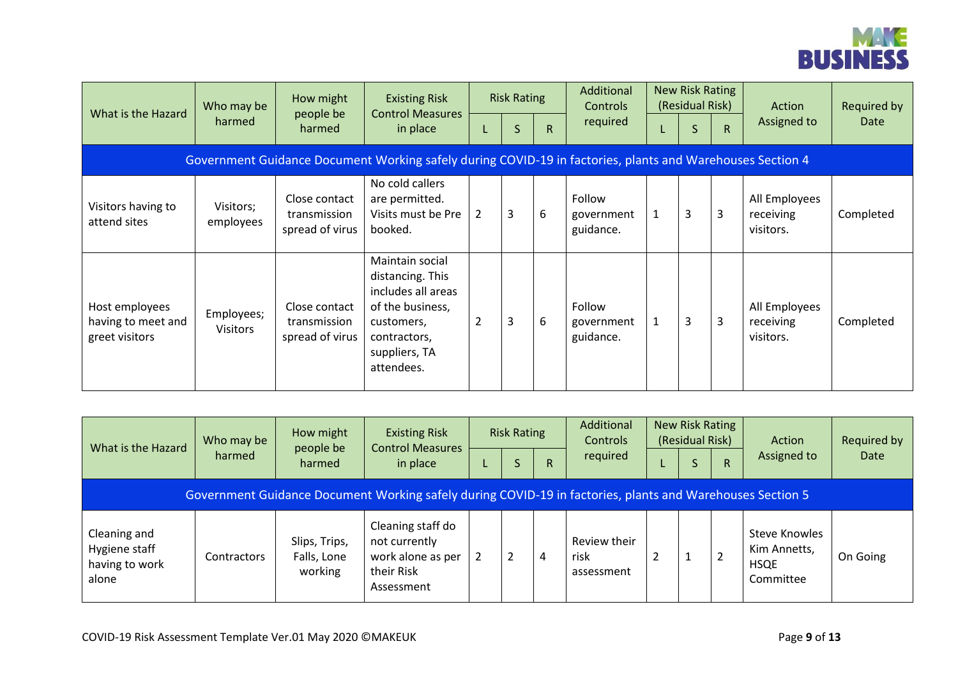

| What is the Hazard                                     | Who may be                    | How might<br>people be                           | <b>Existing Risk</b><br><b>Control Measures</b>                                                                                            |                | <b>Risk Rating</b> |              | Additional<br><b>Controls</b>     |              | New Risk Rating<br>(Residual Risk) |              | Action                                  | Required by |
|--------------------------------------------------------|-------------------------------|--------------------------------------------------|--------------------------------------------------------------------------------------------------------------------------------------------|----------------|--------------------|--------------|-----------------------------------|--------------|------------------------------------|--------------|-----------------------------------------|-------------|
|                                                        | harmed                        | harmed                                           | in place                                                                                                                                   | L              | S                  | $\mathsf{R}$ | required                          |              | S                                  | $\mathsf{R}$ | Assigned to                             | Date        |
|                                                        |                               |                                                  | Government Guidance Document Working safely during COVID-19 in factories, plants and Warehouses Section 4                                  |                |                    |              |                                   |              |                                    |              |                                         |             |
| Visitors having to<br>attend sites                     | Visitors;<br>employees        | Close contact<br>transmission<br>spread of virus | No cold callers<br>are permitted.<br>Visits must be Pre<br>booked.                                                                         | $\overline{2}$ | 3                  | 6            | Follow<br>government<br>guidance. | $\mathbf{1}$ | 3                                  | 3            | All Employees<br>receiving<br>visitors. | Completed   |
| Host employees<br>having to meet and<br>greet visitors | Employees;<br><b>Visitors</b> | Close contact<br>transmission<br>spread of virus | Maintain social<br>distancing. This<br>includes all areas<br>of the business,<br>customers,<br>contractors,<br>suppliers, TA<br>attendees. | $\overline{2}$ | 3                  | 6            | Follow<br>government<br>guidance. | $\mathbf{1}$ | 3                                  | 3            | All Employees<br>receiving<br>visitors. | Completed   |

| What is the Hazard                                       | Who may be  | How might                               | <b>Existing Risk</b><br><b>Control Measures</b>                                                           | <b>Risk Rating</b> |    | Additional<br>Controls             | New Risk Rating<br>(Residual Risk) |    | Action                                                    | <b>Required by</b> |
|----------------------------------------------------------|-------------|-----------------------------------------|-----------------------------------------------------------------------------------------------------------|--------------------|----|------------------------------------|------------------------------------|----|-----------------------------------------------------------|--------------------|
|                                                          | harmed      | people be<br>harmed                     | in place                                                                                                  | S                  | R. | required                           | $\Delta$                           | R. | Assigned to                                               | Date               |
|                                                          |             |                                         | Government Guidance Document Working safely during COVID-19 in factories, plants and Warehouses Section 5 |                    |    |                                    |                                    |    |                                                           |                    |
| Cleaning and<br>Hygiene staff<br>having to work<br>alone | Contractors | Slips, Trips,<br>Falls, Lone<br>working | Cleaning staff do<br>not currently<br>work alone as per<br>their Risk<br>Assessment                       |                    | 4  | Review their<br>risk<br>assessment |                                    |    | Steve Knowles<br>Kim Annetts,<br><b>HSQE</b><br>Committee | On Going           |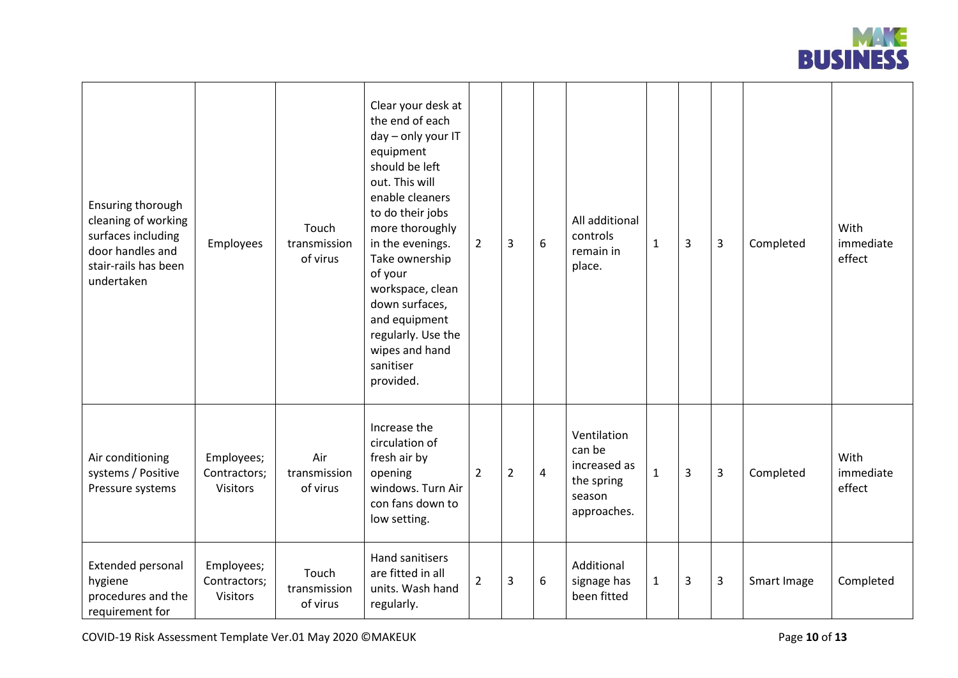

| Ensuring thorough<br>cleaning of working<br>surfaces including<br>door handles and<br>stair-rails has been<br>undertaken | Employees                                     | Touch<br>transmission<br>of virus | Clear your desk at<br>the end of each<br>day - only your IT<br>equipment<br>should be left<br>out. This will<br>enable cleaners<br>to do their jobs<br>more thoroughly<br>in the evenings.<br>Take ownership<br>of your<br>workspace, clean<br>down surfaces,<br>and equipment<br>regularly. Use the<br>wipes and hand<br>sanitiser<br>provided. | $\overline{2}$ | 3              | 6              | All additional<br>controls<br>remain in<br>place.                            | $\mathbf{1}$ | 3 | 3 | Completed   | With<br>immediate<br>effect |
|--------------------------------------------------------------------------------------------------------------------------|-----------------------------------------------|-----------------------------------|--------------------------------------------------------------------------------------------------------------------------------------------------------------------------------------------------------------------------------------------------------------------------------------------------------------------------------------------------|----------------|----------------|----------------|------------------------------------------------------------------------------|--------------|---|---|-------------|-----------------------------|
| Air conditioning<br>systems / Positive<br>Pressure systems                                                               | Employees;<br>Contractors;<br><b>Visitors</b> | Air<br>transmission<br>of virus   | Increase the<br>circulation of<br>fresh air by<br>opening<br>windows. Turn Air<br>con fans down to<br>low setting.                                                                                                                                                                                                                               | $\overline{2}$ | $\overline{2}$ | $\overline{4}$ | Ventilation<br>can be<br>increased as<br>the spring<br>season<br>approaches. | $\mathbf{1}$ | 3 | 3 | Completed   | With<br>immediate<br>effect |
| <b>Extended personal</b><br>hygiene<br>procedures and the<br>requirement for                                             | Employees;<br>Contractors;<br><b>Visitors</b> | Touch<br>transmission<br>of virus | Hand sanitisers<br>are fitted in all<br>units. Wash hand<br>regularly.                                                                                                                                                                                                                                                                           | 2              | 3              | 6              | Additional<br>signage has<br>been fitted                                     | $\mathbf{1}$ | 3 | 3 | Smart Image | Completed                   |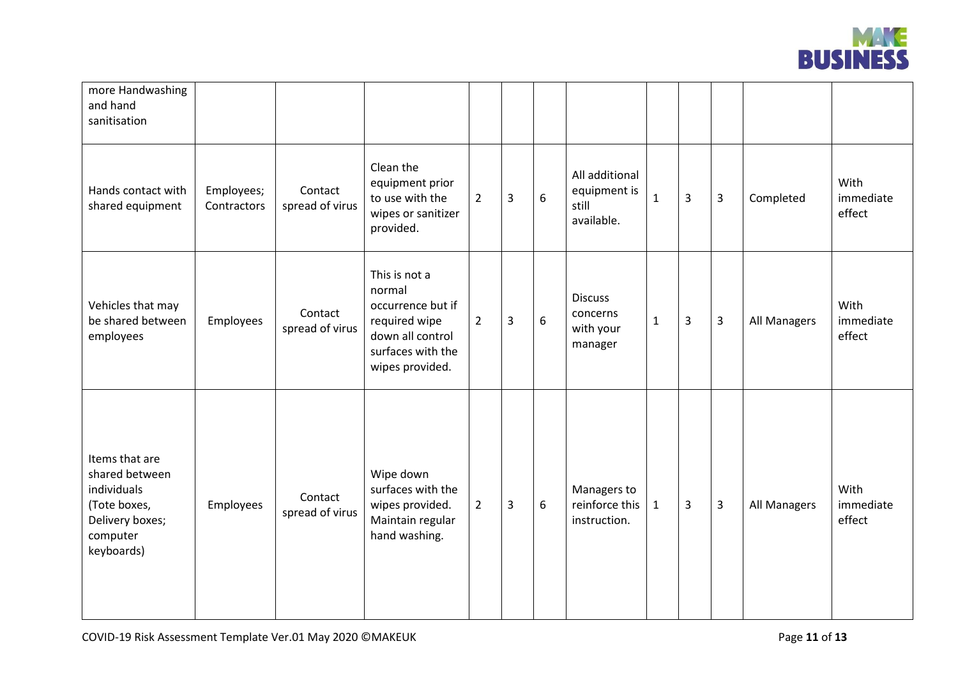

| more Handwashing<br>and hand<br>sanitisation                                                                 |                           |                            |                                                                                                                           |                |   |   |                                                       |              |                |                |              |                             |
|--------------------------------------------------------------------------------------------------------------|---------------------------|----------------------------|---------------------------------------------------------------------------------------------------------------------------|----------------|---|---|-------------------------------------------------------|--------------|----------------|----------------|--------------|-----------------------------|
| Hands contact with<br>shared equipment                                                                       | Employees;<br>Contractors | Contact<br>spread of virus | Clean the<br>equipment prior<br>to use with the<br>wipes or sanitizer<br>provided.                                        | $\overline{2}$ | 3 | 6 | All additional<br>equipment is<br>still<br>available. | $\mathbf{1}$ | 3              | 3              | Completed    | With<br>immediate<br>effect |
| Vehicles that may<br>be shared between<br>employees                                                          | Employees                 | Contact<br>spread of virus | This is not a<br>normal<br>occurrence but if<br>required wipe<br>down all control<br>surfaces with the<br>wipes provided. | $\overline{2}$ | 3 | 6 | <b>Discuss</b><br>concerns<br>with your<br>manager    | $\mathbf{1}$ | $\overline{3}$ | 3              | All Managers | With<br>immediate<br>effect |
| Items that are<br>shared between<br>individuals<br>(Tote boxes,<br>Delivery boxes;<br>computer<br>keyboards) | Employees                 | Contact<br>spread of virus | Wipe down<br>surfaces with the<br>wipes provided.<br>Maintain regular<br>hand washing.                                    | $\overline{2}$ | 3 | 6 | Managers to<br>reinforce this<br>instruction.         | $\mathbf{1}$ | 3              | $\overline{3}$ | All Managers | With<br>immediate<br>effect |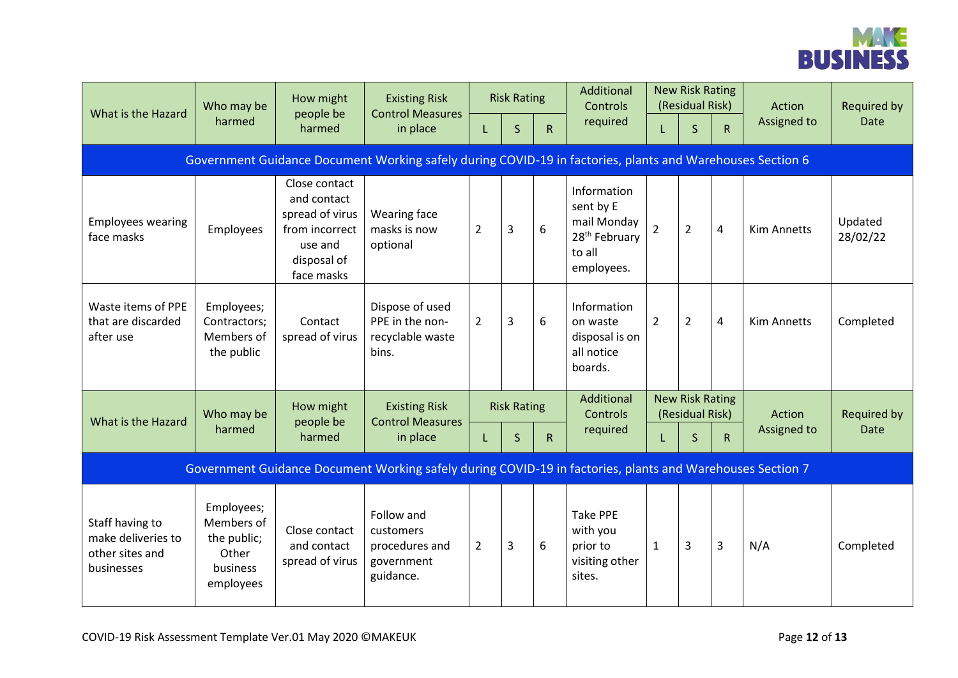

| What is the Hazard                                                                                        | Who may be<br>harmed                                                      | How might<br>people be<br>harmed                                                                          | <b>Existing Risk</b><br><b>Control Measures</b><br>in place          | <b>Risk Rating</b> |              |              | Additional<br>Controls                                                                       | <b>New Risk Rating</b><br>(Residual Risk) |                |                | Action             | <b>Required by</b>  |
|-----------------------------------------------------------------------------------------------------------|---------------------------------------------------------------------------|-----------------------------------------------------------------------------------------------------------|----------------------------------------------------------------------|--------------------|--------------|--------------|----------------------------------------------------------------------------------------------|-------------------------------------------|----------------|----------------|--------------------|---------------------|
|                                                                                                           |                                                                           |                                                                                                           |                                                                      | L.                 | $\mathsf{S}$ | $\mathsf{R}$ | required                                                                                     | L                                         | $\mathsf{S}$   | $\mathsf{R}$   | Assigned to        | <b>Date</b>         |
| Government Guidance Document Working safely during COVID-19 in factories, plants and Warehouses Section 6 |                                                                           |                                                                                                           |                                                                      |                    |              |              |                                                                                              |                                           |                |                |                    |                     |
| <b>Employees wearing</b><br>face masks                                                                    | Employees                                                                 | Close contact<br>and contact<br>spread of virus<br>from incorrect<br>use and<br>disposal of<br>face masks | Wearing face<br>masks is now<br>optional                             | $\overline{2}$     | 3            | 6            | Information<br>sent by E<br>mail Monday<br>28 <sup>th</sup> February<br>to all<br>employees. | $\overline{2}$                            | $\overline{2}$ | $\overline{4}$ | <b>Kim Annetts</b> | Updated<br>28/02/22 |
| Waste items of PPE<br>that are discarded<br>after use                                                     | Employees;<br>Contractors;<br>Members of<br>the public                    | Contact<br>spread of virus                                                                                | Dispose of used<br>PPE in the non-<br>recyclable waste<br>bins.      | $\overline{2}$     | 3            | 6            | Information<br>on waste<br>disposal is on<br>all notice<br>boards.                           | $\overline{2}$                            | $\overline{2}$ | $\overline{4}$ | <b>Kim Annetts</b> | Completed           |
| What is the Hazard                                                                                        | Who may be                                                                | How might<br>people be<br>harmed                                                                          | <b>Existing Risk</b><br><b>Control Measures</b><br>in place          | <b>Risk Rating</b> |              |              | Additional<br><b>Controls</b>                                                                | <b>New Risk Rating</b><br>(Residual Risk) |                |                | Action             | <b>Required by</b>  |
|                                                                                                           | harmed                                                                    |                                                                                                           |                                                                      | L.                 | $\mathsf{S}$ | $\mathsf{R}$ | required                                                                                     | L                                         | $\mathsf{S}$   | $\mathsf R$    | Assigned to        | <b>Date</b>         |
| Government Guidance Document Working safely during COVID-19 in factories, plants and Warehouses Section 7 |                                                                           |                                                                                                           |                                                                      |                    |              |              |                                                                                              |                                           |                |                |                    |                     |
| Staff having to<br>make deliveries to<br>other sites and<br>businesses                                    | Employees;<br>Members of<br>the public;<br>Other<br>business<br>employees | Close contact<br>and contact<br>spread of virus                                                           | Follow and<br>customers<br>procedures and<br>government<br>guidance. | $\overline{2}$     | 3            | 6            | <b>Take PPE</b><br>with you<br>prior to<br>visiting other<br>sites.                          | $\mathbf{1}$                              | 3              | 3              | N/A                | Completed           |